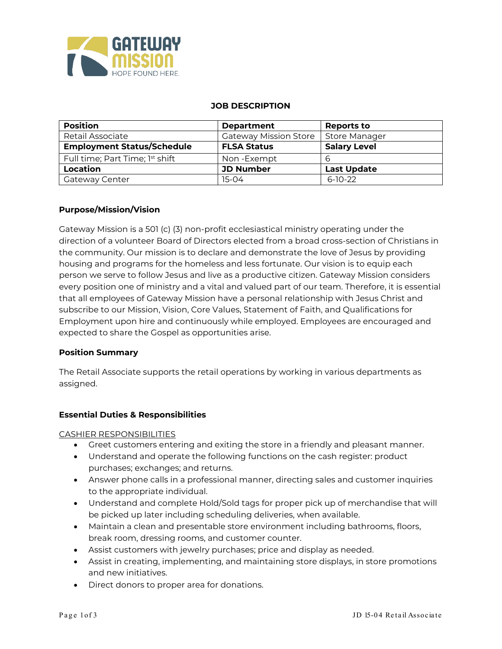

#### **JOB DESCRIPTION**

| <b>Position</b>                   | <b>Department</b>            | <b>Reports to</b>    |  |
|-----------------------------------|------------------------------|----------------------|--|
| <b>Retail Associate</b>           | <b>Gateway Mission Store</b> | <b>Store Manager</b> |  |
| <b>Employment Status/Schedule</b> | <b>FLSA Status</b>           | <b>Salary Level</b>  |  |
| Full time; Part Time; 1st shift   | Non-Exempt                   | b                    |  |
| Location                          | <b>JD Number</b>             | <b>Last Update</b>   |  |
| Gateway Center                    | $15-04$                      | $6-10-22$            |  |

### **Purpose/Mission/Vision**

Gateway Mission is a 501 (c) (3) non-profit ecclesiastical ministry operating under the direction of a volunteer Board of Directors elected from a broad cross-section of Christians in the community. Our mission is to declare and demonstrate the love of Jesus by providing housing and programs for the homeless and less fortunate. Our vision is to equip each person we serve to follow Jesus and live as a productive citizen. Gateway Mission considers every position one of ministry and a vital and valued part of our team. Therefore, it is essential that all employees of Gateway Mission have a personal relationship with Jesus Christ and subscribe to our Mission, Vision, Core Values, Statement of Faith, and Qualifications for Employment upon hire and continuously while employed. Employees are encouraged and expected to share the Gospel as opportunities arise.

### **Position Summary**

The Retail Associate supports the retail operations by working in various departments as assigned.

### **Essential Duties & Responsibilities**

### CASHIER RESPONSIBILITIES

- Greet customers entering and exiting the store in a friendly and pleasant manner.
- Understand and operate the following functions on the cash register: product purchases; exchanges; and returns.
- Answer phone calls in a professional manner, directing sales and customer inquiries to the appropriate individual.
- Understand and complete Hold/Sold tags for proper pick up of merchandise that will be picked up later including scheduling deliveries, when available.
- Maintain a clean and presentable store environment including bathrooms, floors, break room, dressing rooms, and customer counter.
- Assist customers with jewelry purchases; price and display as needed.
- Assist in creating, implementing, and maintaining store displays, in store promotions and new initiatives.
- Direct donors to proper area for donations.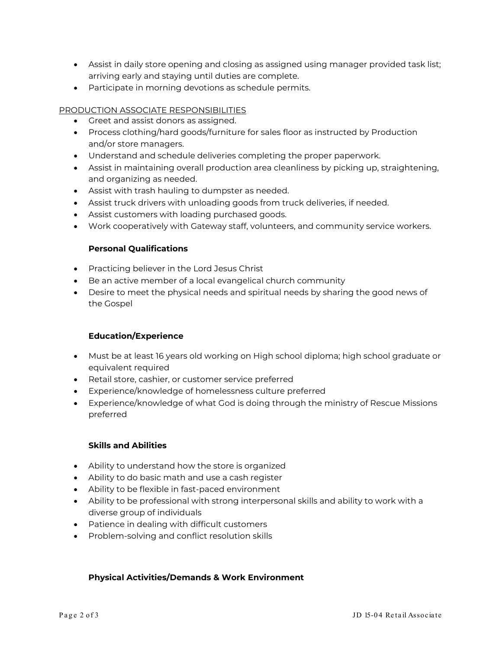- Assist in daily store opening and closing as assigned using manager provided task list; arriving early and staying until duties are complete.
- Participate in morning devotions as schedule permits.

# PRODUCTION ASSOCIATE RESPONSIBILITIES

- Greet and assist donors as assigned.
- Process clothing/hard goods/furniture for sales floor as instructed by Production and/or store managers.
- Understand and schedule deliveries completing the proper paperwork.
- Assist in maintaining overall production area cleanliness by picking up, straightening, and organizing as needed.
- Assist with trash hauling to dumpster as needed.
- Assist truck drivers with unloading goods from truck deliveries, if needed.
- Assist customers with loading purchased goods.
- Work cooperatively with Gateway staff, volunteers, and community service workers.

## **Personal Qualifications**

- Practicing believer in the Lord Jesus Christ
- Be an active member of a local evangelical church community
- Desire to meet the physical needs and spiritual needs by sharing the good news of the Gospel

### **Education/Experience**

- Must be at least 16 years old working on High school diploma; high school graduate or equivalent required
- Retail store, cashier, or customer service preferred
- Experience/knowledge of homelessness culture preferred
- Experience/knowledge of what God is doing through the ministry of Rescue Missions preferred

### **Skills and Abilities**

- Ability to understand how the store is organized
- Ability to do basic math and use a cash register
- Ability to be flexible in fast-paced environment
- Ability to be professional with strong interpersonal skills and ability to work with a diverse group of individuals
- Patience in dealing with difficult customers
- Problem-solving and conflict resolution skills

### **Physical Activities/Demands & Work Environment**